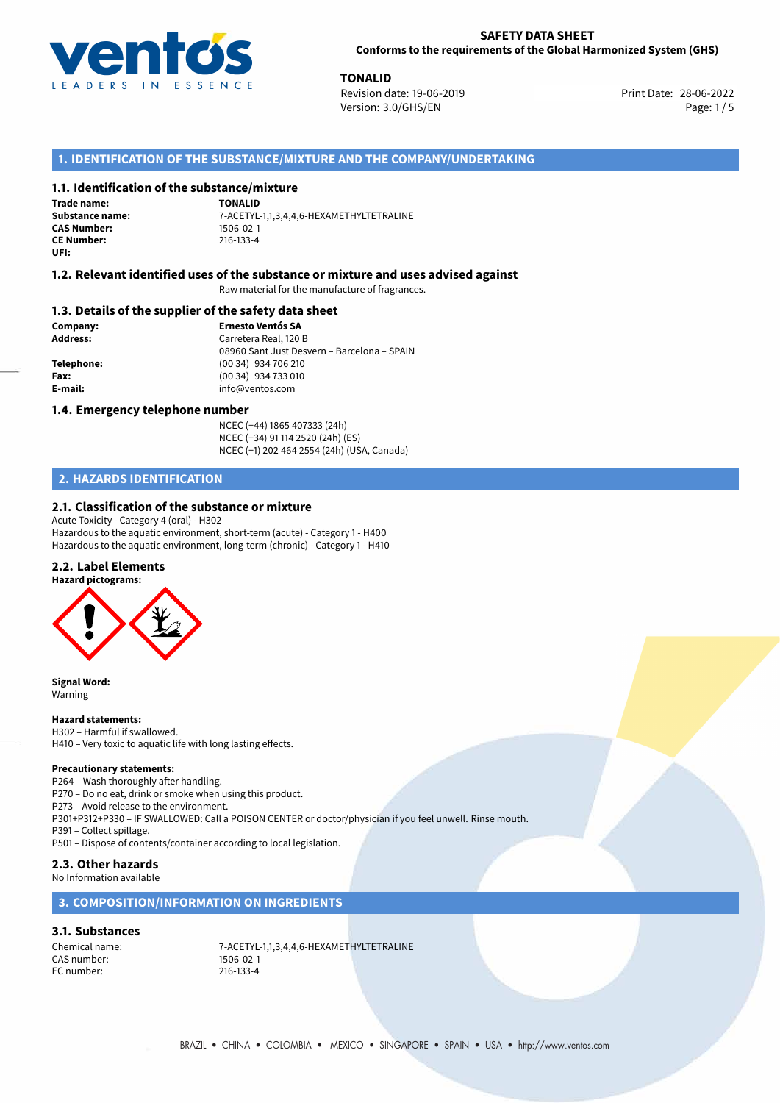

**TONALID**<br>
Revision date: 19-06-2019 **Print Date: 28-06-2022** Version: 3.0/GHS/EN Page: 1/5

# **1. IDENTIFICATION OF THE SUBSTANCE/MIXTURE AND THE COMPANY/UNDERTAKING**

## **1.1. Identification of the substance/mixture**

**Trade name: CAS Number: CE Number:** 216-133-4 **UFI:**

**TONALID Substance name:** 7-ACETYL-1,1,3,4,4,6-HEXAMETHYLTETRALINE

### **1.2. Relevant identified uses of the substance or mixture and uses advised against**

Raw material for the manufacture of fragrances.

### **1.3. Details of the supplier of the safety data sheet**

**Company: Ernesto Ventós SA Address:** Carretera Real, 120 B 08960 Sant Just Desvern – Barcelona – SPAIN **Telephone:** (00 34) 934 706 210 **Fax:** (00 34) 934 733 010 **E-mail:** info@ventos.com

### **1.4. Emergency telephone number**

NCEC (+44) 1865 407333 (24h) NCEC (+34) 91 114 2520 (24h) (ES) NCEC (+1) 202 464 2554 (24h) (USA, Canada)

# **2. HAZARDS IDENTIFICATION**

# **2.1. Classification of the substance or mixture**

Acute Toxicity - Category 4 (oral) - H302 Hazardous to the aquatic environment, short-term (acute) - Category 1 - H400 Hazardous to the aquatic environment, long-term (chronic) - Category 1 - H410

# **2.2. Label Elements**



**Signal Word:** Warning

### **Hazard statements:**

H302 – Harmful if swallowed. H410 – Very toxic to aquatic life with long lasting effects.

### **Precautionary statements:**

P264 – Wash thoroughly after handling.

P270 – Do no eat, drink or smoke when using this product.

P273 – Avoid release to the environment.

P301+P312+P330 – IF SWALLOWED: Call a POISON CENTER or doctor/physician if you feel unwell. Rinse mouth.

P391 – Collect spillage.

P501 – Dispose of contents/container according to local legislation.

# **2.3. Other hazards**

No Information available

# **3. COMPOSITION/INFORMATION ON INGREDIENTS**

### **3.1. Substances**

CAS number: 1506-02-1<br>EC number: 216-133-4 EC number:

Chemical name:  $7-ACETYL-1,1,3,4,4,6-HEXAMETHYLTE}$ <br>CAS number: 1506-02-1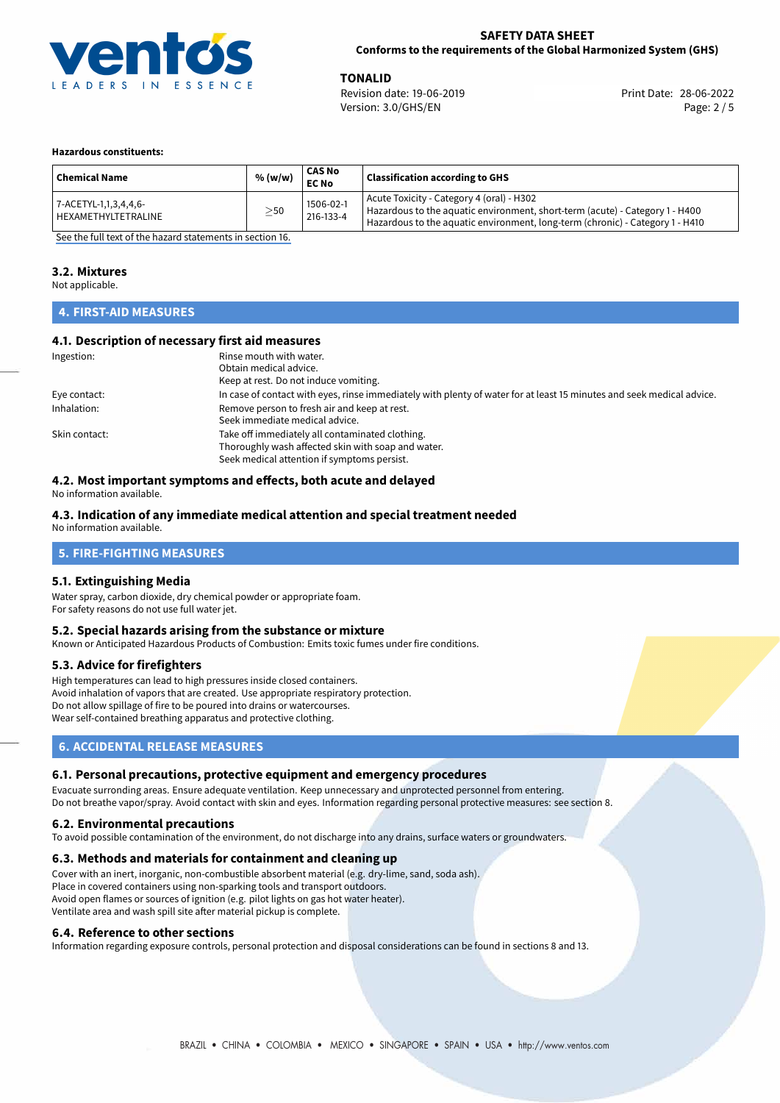

**TONALID**<br>
Revision date: 19-06-2019 **Print Date: 28-06-2022** Version: 3.0/GHS/EN Page: 2 / 5

### **Hazardous constituents:**

| <b>Chemical Name</b>                         | % (w/w)   | <b>CAS No</b><br><b>EC No</b> | <b>Classification according to GHS</b>                                                                                                                                                                     |
|----------------------------------------------|-----------|-------------------------------|------------------------------------------------------------------------------------------------------------------------------------------------------------------------------------------------------------|
| 7-ACETYL-1,1,3,4,4,6-<br>HEXAMETHYLTETRALINE | $\geq$ 50 | 1506-02-1<br>216-133-4        | Acute Toxicity - Category 4 (oral) - H302<br>Hazardous to the aquatic environment, short-term (acute) - Category 1 - H400<br>Hazardous to the aquatic environment, long-term (chronic) - Category 1 - H410 |

[See the full text of the hazard statements in section 16.](#page-4-0)

### **3.2. Mixtures**

Not applicable.

## **4. FIRST-AID MEASURES**

## **4.1. Description of necessary first aid measures**

| Ingestion:    | Rinse mouth with water.                                                                                               |  |  |
|---------------|-----------------------------------------------------------------------------------------------------------------------|--|--|
|               | Obtain medical advice.                                                                                                |  |  |
|               | Keep at rest. Do not induce vomiting.                                                                                 |  |  |
| Eye contact:  | In case of contact with eyes, rinse immediately with plenty of water for at least 15 minutes and seek medical advice. |  |  |
| Inhalation:   | Remove person to fresh air and keep at rest.                                                                          |  |  |
|               | Seek immediate medical advice.                                                                                        |  |  |
| Skin contact: | Take off immediately all contaminated clothing.                                                                       |  |  |
|               | Thoroughly wash affected skin with soap and water.                                                                    |  |  |
|               | Seek medical attention if symptoms persist.                                                                           |  |  |

# **4.2. Most important symptoms and effects, both acute and delayed**

No information available.

## **4.3. Indication of any immediate medical attention and special treatment needed**

No information available.

## **5. FIRE-FIGHTING MEASURES**

### **5.1. Extinguishing Media**

Water spray, carbon dioxide, dry chemical powder or appropriate foam. For safety reasons do not use full water jet.

### **5.2. Special hazards arising from the substance or mixture**

Known or Anticipated Hazardous Products of Combustion: Emits toxic fumes under fire conditions.

### **5.3. Advice for firefighters**

High temperatures can lead to high pressures inside closed containers. Avoid inhalation of vapors that are created. Use appropriate respiratory protection. Do not allow spillage of fire to be poured into drains or watercourses. Wear self-contained breathing apparatus and protective clothing.

# **6. ACCIDENTAL RELEASE MEASURES**

### **6.1. Personal precautions, protective equipment and emergency procedures**

Evacuate surronding areas. Ensure adequate ventilation. Keep unnecessary and unprotected personnel from entering. Do not breathe vapor/spray. Avoid contact with skin and eyes. Information regarding personal protective measures: see section 8.

### **6.2. Environmental precautions**

To avoid possible contamination of the environment, do not discharge into any drains, surface waters or groundwaters.

### **6.3. Methods and materials for containment and cleaning up**

Cover with an inert, inorganic, non-combustible absorbent material (e.g. dry-lime, sand, soda ash). Place in covered containers using non-sparking tools and transport outdoors. Avoid open flames or sources of ignition (e.g. pilot lights on gas hot water heater). Ventilate area and wash spill site after material pickup is complete.

### **6.4. Reference to other sections**

Information regarding exposure controls, personal protection and disposal considerations can be found in sections 8 and 13.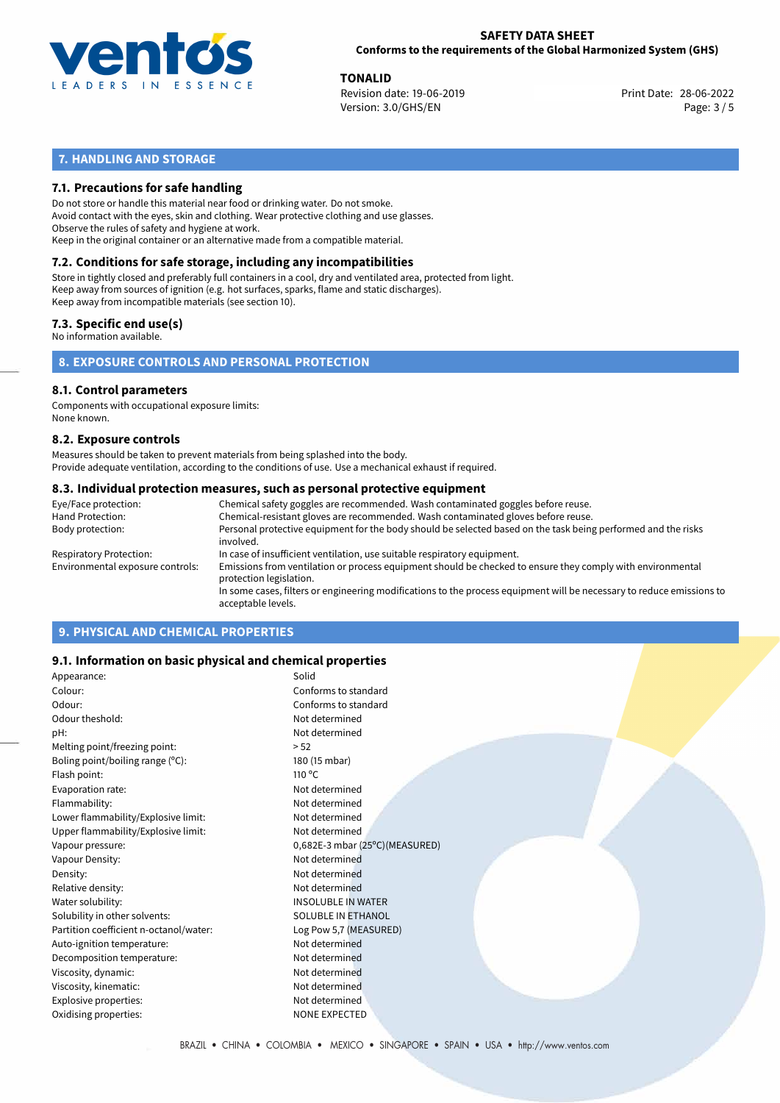

**TONALID**<br>
Revision date: 19-06-2019 **Print Date: 28-06-2022** Version: 3.0/GHS/EN Page: 3 / 5

# **7. HANDLING AND STORAGE**

# **7.1. Precautions for safe handling**

Do not store or handle this material near food or drinking water. Do not smoke. Avoid contact with the eyes, skin and clothing. Wear protective clothing and use glasses. Observe the rules of safety and hygiene at work. Keep in the original container or an alternative made from a compatible material.

# **7.2. Conditions for safe storage, including any incompatibilities**

Store in tightly closed and preferably full containers in a cool, dry and ventilated area, protected from light. Keep away from sources of ignition (e.g. hot surfaces, sparks, flame and static discharges). Keep away from incompatible materials (see section 10).

## **7.3. Specific end use(s)**

No information available.

**8. EXPOSURE CONTROLS AND PERSONAL PROTECTION**

# **8.1. Control parameters**

Components with occupational exposure limits: None known.

### **8.2. Exposure controls**

Measures should be taken to prevent materials from being splashed into the body. Provide adequate ventilation, according to the conditions of use. Use a mechanical exhaust if required.

### **8.3. Individual protection measures, such as personal protective equipment**

| Eye/Face protection:             | Chemical safety goggles are recommended. Wash contaminated goggles before reuse.                                                            |  |  |  |
|----------------------------------|---------------------------------------------------------------------------------------------------------------------------------------------|--|--|--|
| Hand Protection:                 | Chemical-resistant gloves are recommended. Wash contaminated gloves before reuse.                                                           |  |  |  |
| Body protection:                 | Personal protective equipment for the body should be selected based on the task being performed and the risks<br>involved.                  |  |  |  |
| Respiratory Protection:          | In case of insufficient ventilation, use suitable respiratory equipment.                                                                    |  |  |  |
| Environmental exposure controls: | Emissions from ventilation or process equipment should be checked to ensure they comply with environmental<br>protection legislation.       |  |  |  |
|                                  | In some cases, filters or engineering modifications to the process equipment will be necessary to reduce emissions to<br>acceptable levels. |  |  |  |
|                                  |                                                                                                                                             |  |  |  |

# **9. PHYSICAL AND CHEMICAL PROPERTIES**

## **9.1. Information on basic physical and chemical properties**

| Appearance:                            | Solid                          |
|----------------------------------------|--------------------------------|
| Colour:                                | Conforms to standard           |
| Odour:                                 | Conforms to standard           |
| Odour theshold:                        | Not determined                 |
| pH:                                    | Not determined                 |
| Melting point/freezing point:          | > 52                           |
| Boling point/boiling range (°C):       | 180 (15 mbar)                  |
| Flash point:                           | $110^{\circ}$ C                |
| Evaporation rate:                      | Not determined                 |
| Flammability:                          | Not determined                 |
| Lower flammability/Explosive limit:    | Not determined                 |
| Upper flammability/Explosive limit:    | Not determined                 |
| Vapour pressure:                       | 0,682E-3 mbar (25°C)(MEASURED) |
| Vapour Density:                        | Not determined                 |
| Density:                               | Not determined                 |
| Relative density:                      | Not determined                 |
| Water solubility:                      | <b>INSOLUBLE IN WATER</b>      |
| Solubility in other solvents:          | SOLUBLE IN ETHANOL             |
| Partition coefficient n-octanol/water: | Log Pow 5,7 (MEASURED)         |
| Auto-ignition temperature:             | Not determined                 |
| Decomposition temperature:             | Not determined                 |
| Viscosity, dynamic:                    | Not determined                 |
| Viscosity, kinematic:                  | Not determined                 |
| Explosive properties:                  | Not determined                 |
| Oxidising properties:                  | <b>NONE EXPECTED</b>           |
|                                        |                                |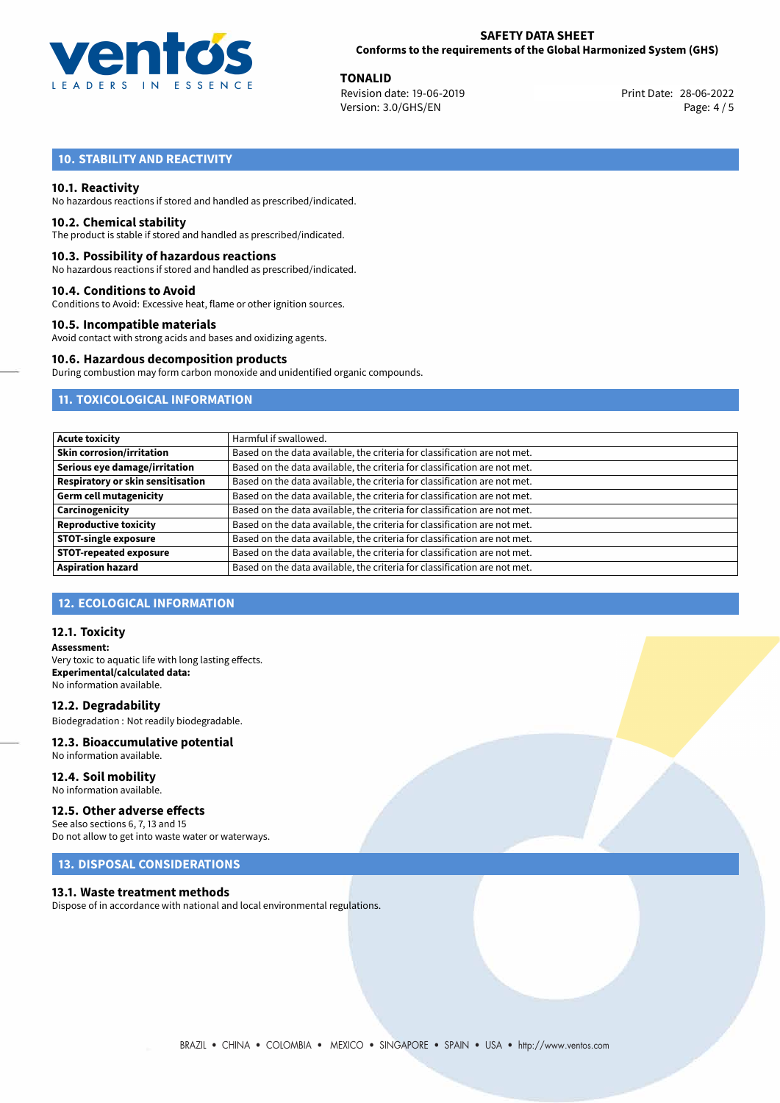

**TONALID**<br>
Revision date: 19-06-2019 **Print Date: 28-06-2022** Version: 3.0/GHS/EN Page: 4 / 5

# **10. STABILITY AND REACTIVITY**

### **10.1. Reactivity**

No hazardous reactions if stored and handled as prescribed/indicated.

### **10.2. Chemical stability**

The product is stable if stored and handled as prescribed/indicated.

### **10.3. Possibility of hazardous reactions**

No hazardous reactions if stored and handled as prescribed/indicated.

### **10.4. Conditions to Avoid**

Conditions to Avoid: Excessive heat, flame or other ignition sources.

### **10.5. Incompatible materials**

Avoid contact with strong acids and bases and oxidizing agents.

### **10.6. Hazardous decomposition products**

During combustion may form carbon monoxide and unidentified organic compounds.

# **11. TOXICOLOGICAL INFORMATION**

| <b>Acute toxicity</b>             | Harmful if swallowed.                                                     |  |  |
|-----------------------------------|---------------------------------------------------------------------------|--|--|
| <b>Skin corrosion/irritation</b>  | Based on the data available, the criteria for classification are not met. |  |  |
| Serious eye damage/irritation     | Based on the data available, the criteria for classification are not met. |  |  |
| Respiratory or skin sensitisation | Based on the data available, the criteria for classification are not met. |  |  |
| Germ cell mutagenicity            | Based on the data available, the criteria for classification are not met. |  |  |
| Carcinogenicity                   | Based on the data available, the criteria for classification are not met. |  |  |
| <b>Reproductive toxicity</b>      | Based on the data available, the criteria for classification are not met. |  |  |
| <b>STOT-single exposure</b>       | Based on the data available, the criteria for classification are not met. |  |  |
| <b>STOT-repeated exposure</b>     | Based on the data available, the criteria for classification are not met. |  |  |
| <b>Aspiration hazard</b>          | Based on the data available, the criteria for classification are not met. |  |  |

## **12. ECOLOGICAL INFORMATION**

### **12.1. Toxicity**

**Assessment:** Very toxic to aquatic life with long lasting effects. **Experimental/calculated data:** No information available.

**12.2. Degradability** Biodegradation : Not readily biodegradable.

# **12.3. Bioaccumulative potential**

No information available.

**12.4. Soil mobility** No information available.

## **12.5. Other adverse effects**

See also sections 6, 7, 13 and 15 Do not allow to get into waste water or waterways.

## **13. DISPOSAL CONSIDERATIONS**

### **13.1. Waste treatment methods**

Dispose of in accordance with national and local environmental regulations.